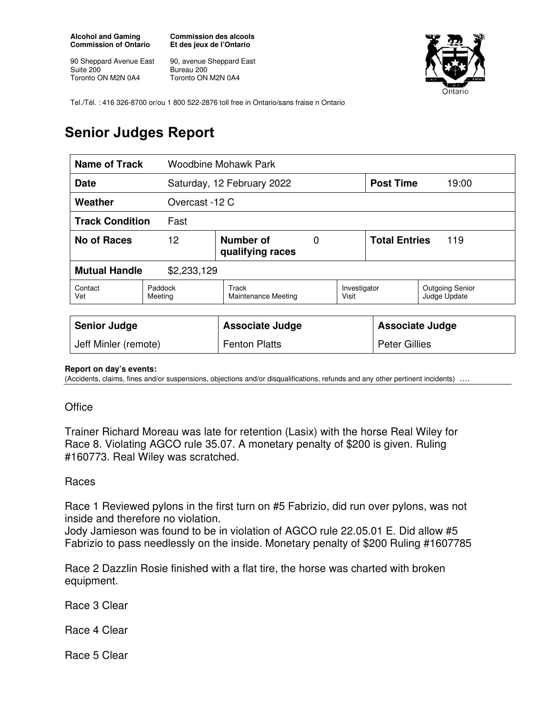**Alcohol and Gaming Commission of Ontario** 

90 Sheppard Avenue East Suite 200 Toronto ON M2N 0A4

**Commission des alcools Et des jeux de l'Ontario** 

90, avenue Sheppard East Bureau 200 Toronto ON M2N 0A4



Tel./Tél. : 416 326-8700 or/ou 1 800 522-2876 toll free in Ontario/sans fraise n Ontario

## **Senior Judges Report**

| Name of Track                       |                                          | Woodbine Mohawk Park                |  |                             |                  |                                        |
|-------------------------------------|------------------------------------------|-------------------------------------|--|-----------------------------|------------------|----------------------------------------|
| Date                                |                                          | Saturday, 12 February 2022          |  |                             | <b>Post Time</b> | 19:00                                  |
| Weather                             |                                          | Overcast -12 C                      |  |                             |                  |                                        |
| <b>Track Condition</b><br>Fast      |                                          |                                     |  |                             |                  |                                        |
| No of Races                         | Number of<br>12<br>0<br>qualifying races |                                     |  | <b>Total Entries</b><br>119 |                  |                                        |
| <b>Mutual Handle</b><br>\$2,233,129 |                                          |                                     |  |                             |                  |                                        |
| Contact<br>Vet                      | Paddock<br>Meeting                       | Track<br><b>Maintenance Meeting</b> |  | Investigator<br>Visit       |                  | <b>Outgoing Senior</b><br>Judge Update |
|                                     |                                          |                                     |  |                             |                  |                                        |
| <b>Senior Judge</b>                 |                                          | <b>Associate Judge</b>              |  | <b>Associate Judge</b>      |                  |                                        |
| Jeff Minler (remote)                |                                          | <b>Fenton Platts</b>                |  | <b>Peter Gillies</b>        |                  |                                        |

## **Report on day's events:**

(Accidents, claims, fines and/or suspensions, objections and/or disqualifications, refunds and any other pertinent incidents) ….

## **Office**

Trainer Richard Moreau was late for retention (Lasix) with the horse Real Wiley for Race 8. Violating AGCO rule 35.07. A monetary penalty of \$200 is given. Ruling #160773. Real Wiley was scratched.

## Races

Race 1 Reviewed pylons in the first turn on #5 Fabrizio, did run over pylons, was not inside and therefore no violation.

Jody Jamieson was found to be in violation of AGCO rule 22.05.01 E. Did allow #5 Fabrizio to pass needlessly on the inside. Monetary penalty of \$200 Ruling #1607785

Race 2 Dazzlin Rosie finished with a flat tire, the horse was charted with broken equipment.

Race 3 Clear

Race 4 Clear

Race 5 Clear